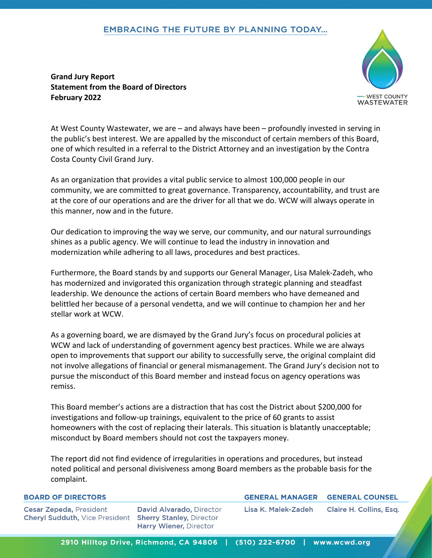## **EMBRACING THE FUTURE BY PLANNING TODAY...**

**Grand Jury Report Statement from the Board of Directors February 2022**



WASTEWATER

**GENERAL COUNSEL Claire H. Collins, Esq.** 

At West County Wastewater, we are – and always have been – profoundly invested in serving in the public's best interest. We are appalled by the misconduct of certain members of this Board, one of which resulted in a referral to the District Attorney and an investigation by the Contra Costa County Civil Grand Jury.

As an organization that provides a vital public service to almost 100,000 people in our community, we are committed to great governance. Transparency, accountability, and trust are at the core of our operations and are the driver for all that we do. WCW will always operate in this manner, now and in the future.

Our dedication to improving the way we serve, our community, and our natural surroundings shines as a public agency. We will continue to lead the industry in innovation and modernization while adhering to all laws, procedures and best practices.

Furthermore, the Board stands by and supports our General Manager, Lisa Malek-Zadeh, who has modernized and invigorated this organization through strategic planning and steadfast leadership. We denounce the actions of certain Board members who have demeaned and belittled her because of a personal vendetta, and we will continue to champion her and her stellar work at WCW.

As a governing board, we are dismayed by the Grand Jury's focus on procedural policies at WCW and lack of understanding of government agency best practices. While we are always open to improvements that support our ability to successfully serve, the original complaint did not involve allegations of financial or general mismanagement. The Grand Jury's decision not to pursue the misconduct of this Board member and instead focus on agency operations was remiss.

This Board member's actions are a distraction that has cost the District about \$200,000 for investigations and follow-up trainings, equivalent to the price of 60 grants to assist homeowners with the cost of replacing their laterals. This situation is blatantly unacceptable; misconduct by Board members should not cost the taxpayers money.

The report did not find evidence of irregularities in operations and procedures, but instead noted political and personal divisiveness among Board members as the probable basis for the complaint.

| <b>BOARD OF DIRECTORS</b>                                                                        |                                                                  | <b>GENERAL MANAGER</b> |
|--------------------------------------------------------------------------------------------------|------------------------------------------------------------------|------------------------|
| <b>Cesar Zepeda, President</b><br><b>Cheryl Sudduth, Vice President Sherry Stanley, Director</b> | <b>David Alvarado, Director</b><br><b>Harry Wiener, Director</b> | Lisa K. Malek-Zadeh    |

## 2910 Hilltop Drive, Richmond, CA 94806 | (510) 222-6700 | www.wcwd.org